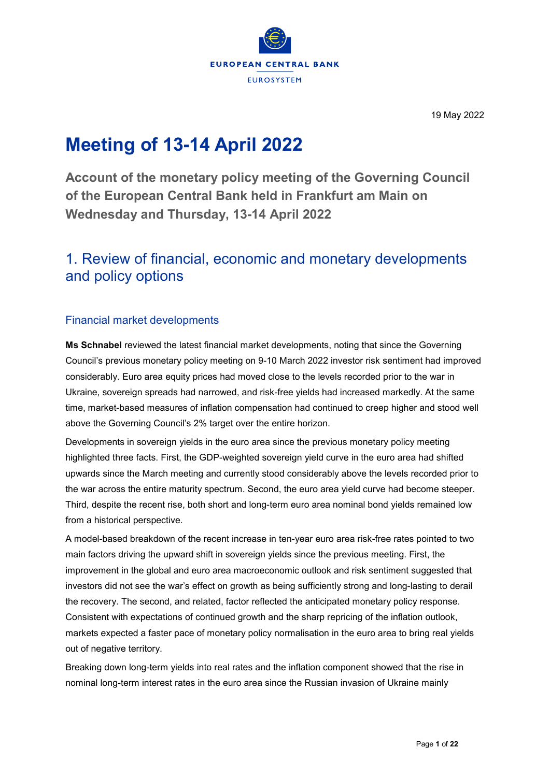

19 May 2022

# **Meeting of 13-14 April 2022**

**Account of the monetary policy meeting of the Governing Council of the European Central Bank held in Frankfurt am Main on Wednesday and Thursday, 13-14 April 2022**

# 1. Review of financial, economic and monetary developments and policy options

# Financial market developments

**Ms Schnabel** reviewed the latest financial market developments, noting that since the Governing Council's previous monetary policy meeting on 9-10 March 2022 investor risk sentiment had improved considerably. Euro area equity prices had moved close to the levels recorded prior to the war in Ukraine, sovereign spreads had narrowed, and risk-free yields had increased markedly. At the same time, market-based measures of inflation compensation had continued to creep higher and stood well above the Governing Council's 2% target over the entire horizon.

Developments in sovereign yields in the euro area since the previous monetary policy meeting highlighted three facts. First, the GDP-weighted sovereign yield curve in the euro area had shifted upwards since the March meeting and currently stood considerably above the levels recorded prior to the war across the entire maturity spectrum. Second, the euro area yield curve had become steeper. Third, despite the recent rise, both short and long-term euro area nominal bond yields remained low from a historical perspective.

A model-based breakdown of the recent increase in ten-year euro area risk-free rates pointed to two main factors driving the upward shift in sovereign yields since the previous meeting. First, the improvement in the global and euro area macroeconomic outlook and risk sentiment suggested that investors did not see the war's effect on growth as being sufficiently strong and long-lasting to derail the recovery. The second, and related, factor reflected the anticipated monetary policy response. Consistent with expectations of continued growth and the sharp repricing of the inflation outlook, markets expected a faster pace of monetary policy normalisation in the euro area to bring real yields out of negative territory.

Breaking down long-term yields into real rates and the inflation component showed that the rise in nominal long-term interest rates in the euro area since the Russian invasion of Ukraine mainly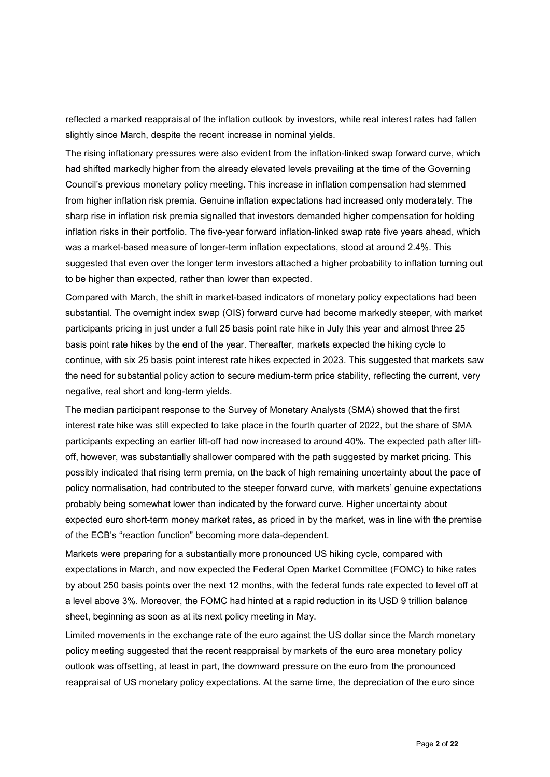reflected a marked reappraisal of the inflation outlook by investors, while real interest rates had fallen slightly since March, despite the recent increase in nominal yields.

The rising inflationary pressures were also evident from the inflation-linked swap forward curve, which had shifted markedly higher from the already elevated levels prevailing at the time of the Governing Council's previous monetary policy meeting. This increase in inflation compensation had stemmed from higher inflation risk premia. Genuine inflation expectations had increased only moderately. The sharp rise in inflation risk premia signalled that investors demanded higher compensation for holding inflation risks in their portfolio. The five-year forward inflation-linked swap rate five years ahead, which was a market-based measure of longer-term inflation expectations, stood at around 2.4%. This suggested that even over the longer term investors attached a higher probability to inflation turning out to be higher than expected, rather than lower than expected.

Compared with March, the shift in market-based indicators of monetary policy expectations had been substantial. The overnight index swap (OIS) forward curve had become markedly steeper, with market participants pricing in just under a full 25 basis point rate hike in July this year and almost three 25 basis point rate hikes by the end of the year. Thereafter, markets expected the hiking cycle to continue, with six 25 basis point interest rate hikes expected in 2023. This suggested that markets saw the need for substantial policy action to secure medium-term price stability, reflecting the current, very negative, real short and long-term yields.

The median participant response to the Survey of Monetary Analysts (SMA) showed that the first interest rate hike was still expected to take place in the fourth quarter of 2022, but the share of SMA participants expecting an earlier lift-off had now increased to around 40%. The expected path after liftoff, however, was substantially shallower compared with the path suggested by market pricing. This possibly indicated that rising term premia, on the back of high remaining uncertainty about the pace of policy normalisation, had contributed to the steeper forward curve, with markets' genuine expectations probably being somewhat lower than indicated by the forward curve. Higher uncertainty about expected euro short-term money market rates, as priced in by the market, was in line with the premise of the ECB's "reaction function" becoming more data-dependent.

Markets were preparing for a substantially more pronounced US hiking cycle, compared with expectations in March, and now expected the Federal Open Market Committee (FOMC) to hike rates by about 250 basis points over the next 12 months, with the federal funds rate expected to level off at a level above 3%. Moreover, the FOMC had hinted at a rapid reduction in its USD 9 trillion balance sheet, beginning as soon as at its next policy meeting in May.

Limited movements in the exchange rate of the euro against the US dollar since the March monetary policy meeting suggested that the recent reappraisal by markets of the euro area monetary policy outlook was offsetting, at least in part, the downward pressure on the euro from the pronounced reappraisal of US monetary policy expectations. At the same time, the depreciation of the euro since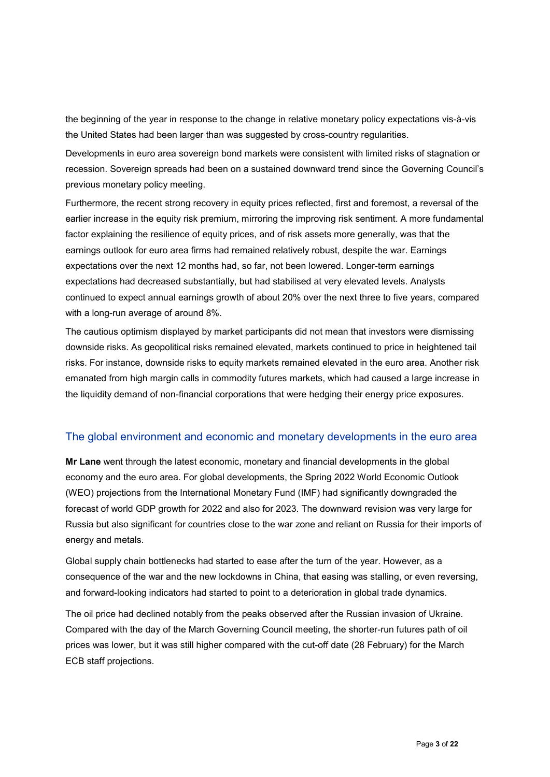the beginning of the year in response to the change in relative monetary policy expectations vis-à-vis the United States had been larger than was suggested by cross-country regularities.

Developments in euro area sovereign bond markets were consistent with limited risks of stagnation or recession. Sovereign spreads had been on a sustained downward trend since the Governing Council's previous monetary policy meeting.

Furthermore, the recent strong recovery in equity prices reflected, first and foremost, a reversal of the earlier increase in the equity risk premium, mirroring the improving risk sentiment. A more fundamental factor explaining the resilience of equity prices, and of risk assets more generally, was that the earnings outlook for euro area firms had remained relatively robust, despite the war. Earnings expectations over the next 12 months had, so far, not been lowered. Longer-term earnings expectations had decreased substantially, but had stabilised at very elevated levels. Analysts continued to expect annual earnings growth of about 20% over the next three to five years, compared with a long-run average of around 8%.

The cautious optimism displayed by market participants did not mean that investors were dismissing downside risks. As geopolitical risks remained elevated, markets continued to price in heightened tail risks. For instance, downside risks to equity markets remained elevated in the euro area. Another risk emanated from high margin calls in commodity futures markets, which had caused a large increase in the liquidity demand of non-financial corporations that were hedging their energy price exposures.

# The global environment and economic and monetary developments in the euro area

**Mr Lane** went through the latest economic, monetary and financial developments in the global economy and the euro area. For global developments, the Spring 2022 World Economic Outlook (WEO) projections from the International Monetary Fund (IMF) had significantly downgraded the forecast of world GDP growth for 2022 and also for 2023. The downward revision was very large for Russia but also significant for countries close to the war zone and reliant on Russia for their imports of energy and metals.

Global supply chain bottlenecks had started to ease after the turn of the year. However, as a consequence of the war and the new lockdowns in China, that easing was stalling, or even reversing, and forward-looking indicators had started to point to a deterioration in global trade dynamics.

The oil price had declined notably from the peaks observed after the Russian invasion of Ukraine. Compared with the day of the March Governing Council meeting, the shorter-run futures path of oil prices was lower, but it was still higher compared with the cut-off date (28 February) for the March ECB staff projections.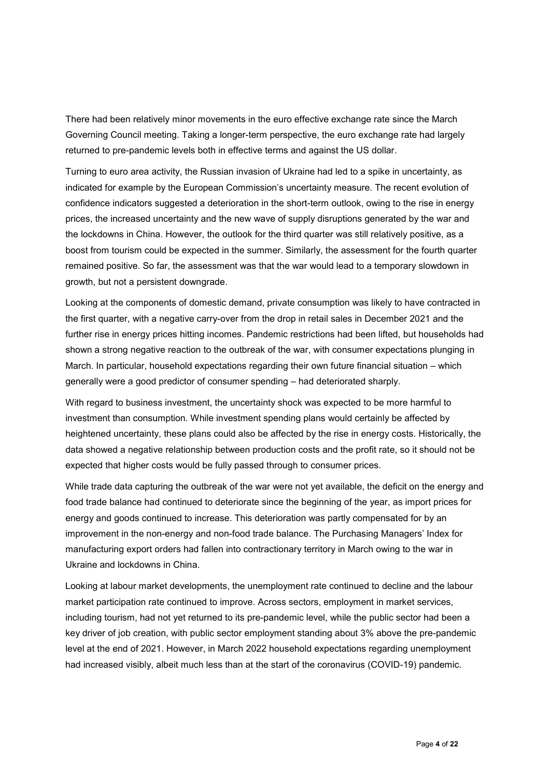There had been relatively minor movements in the euro effective exchange rate since the March Governing Council meeting. Taking a longer-term perspective, the euro exchange rate had largely returned to pre-pandemic levels both in effective terms and against the US dollar.

Turning to euro area activity, the Russian invasion of Ukraine had led to a spike in uncertainty, as indicated for example by the European Commission's uncertainty measure. The recent evolution of confidence indicators suggested a deterioration in the short-term outlook, owing to the rise in energy prices, the increased uncertainty and the new wave of supply disruptions generated by the war and the lockdowns in China. However, the outlook for the third quarter was still relatively positive, as a boost from tourism could be expected in the summer. Similarly, the assessment for the fourth quarter remained positive. So far, the assessment was that the war would lead to a temporary slowdown in growth, but not a persistent downgrade.

Looking at the components of domestic demand, private consumption was likely to have contracted in the first quarter, with a negative carry-over from the drop in retail sales in December 2021 and the further rise in energy prices hitting incomes. Pandemic restrictions had been lifted, but households had shown a strong negative reaction to the outbreak of the war, with consumer expectations plunging in March. In particular, household expectations regarding their own future financial situation – which generally were a good predictor of consumer spending – had deteriorated sharply.

With regard to business investment, the uncertainty shock was expected to be more harmful to investment than consumption. While investment spending plans would certainly be affected by heightened uncertainty, these plans could also be affected by the rise in energy costs. Historically, the data showed a negative relationship between production costs and the profit rate, so it should not be expected that higher costs would be fully passed through to consumer prices.

While trade data capturing the outbreak of the war were not yet available, the deficit on the energy and food trade balance had continued to deteriorate since the beginning of the year, as import prices for energy and goods continued to increase. This deterioration was partly compensated for by an improvement in the non-energy and non-food trade balance. The Purchasing Managers' Index for manufacturing export orders had fallen into contractionary territory in March owing to the war in Ukraine and lockdowns in China.

Looking at labour market developments, the unemployment rate continued to decline and the labour market participation rate continued to improve. Across sectors, employment in market services, including tourism, had not yet returned to its pre-pandemic level, while the public sector had been a key driver of job creation, with public sector employment standing about 3% above the pre-pandemic level at the end of 2021. However, in March 2022 household expectations regarding unemployment had increased visibly, albeit much less than at the start of the coronavirus (COVID-19) pandemic.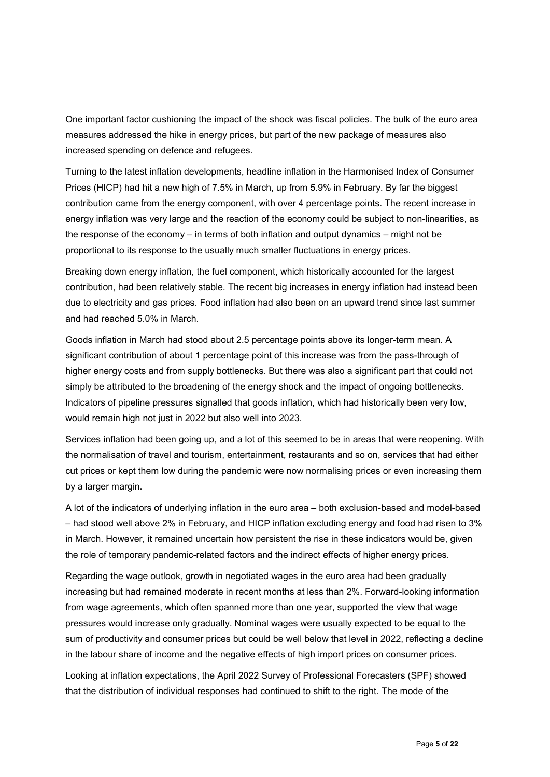One important factor cushioning the impact of the shock was fiscal policies. The bulk of the euro area measures addressed the hike in energy prices, but part of the new package of measures also increased spending on defence and refugees.

Turning to the latest inflation developments, headline inflation in the Harmonised Index of Consumer Prices (HICP) had hit a new high of 7.5% in March, up from 5.9% in February. By far the biggest contribution came from the energy component, with over 4 percentage points. The recent increase in energy inflation was very large and the reaction of the economy could be subject to non-linearities, as the response of the economy – in terms of both inflation and output dynamics – might not be proportional to its response to the usually much smaller fluctuations in energy prices.

Breaking down energy inflation, the fuel component, which historically accounted for the largest contribution, had been relatively stable. The recent big increases in energy inflation had instead been due to electricity and gas prices. Food inflation had also been on an upward trend since last summer and had reached 5.0% in March.

Goods inflation in March had stood about 2.5 percentage points above its longer-term mean. A significant contribution of about 1 percentage point of this increase was from the pass-through of higher energy costs and from supply bottlenecks. But there was also a significant part that could not simply be attributed to the broadening of the energy shock and the impact of ongoing bottlenecks. Indicators of pipeline pressures signalled that goods inflation, which had historically been very low, would remain high not just in 2022 but also well into 2023.

Services inflation had been going up, and a lot of this seemed to be in areas that were reopening. With the normalisation of travel and tourism, entertainment, restaurants and so on, services that had either cut prices or kept them low during the pandemic were now normalising prices or even increasing them by a larger margin.

A lot of the indicators of underlying inflation in the euro area – both exclusion-based and model-based – had stood well above 2% in February, and HICP inflation excluding energy and food had risen to 3% in March. However, it remained uncertain how persistent the rise in these indicators would be, given the role of temporary pandemic-related factors and the indirect effects of higher energy prices.

Regarding the wage outlook, growth in negotiated wages in the euro area had been gradually increasing but had remained moderate in recent months at less than 2%. Forward-looking information from wage agreements, which often spanned more than one year, supported the view that wage pressures would increase only gradually. Nominal wages were usually expected to be equal to the sum of productivity and consumer prices but could be well below that level in 2022, reflecting a decline in the labour share of income and the negative effects of high import prices on consumer prices.

Looking at inflation expectations, the April 2022 Survey of Professional Forecasters (SPF) showed that the distribution of individual responses had continued to shift to the right. The mode of the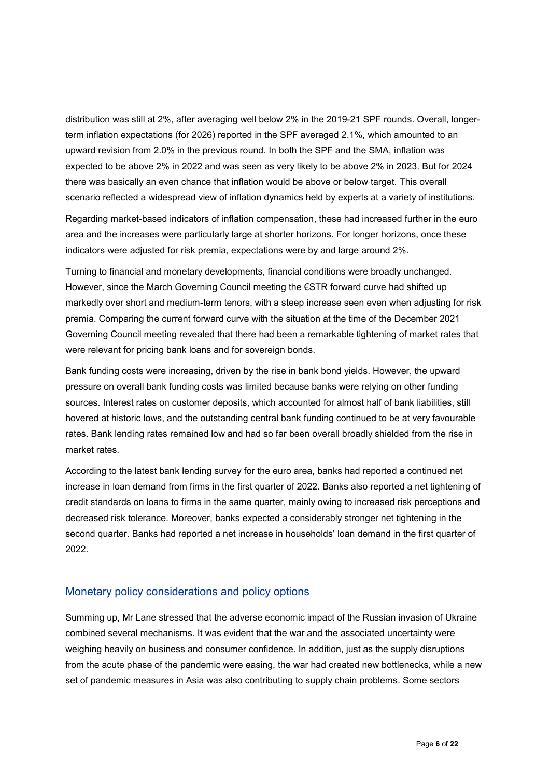distribution was still at 2%, after averaging well below 2% in the 2019-21 SPF rounds. Overall, longerterm inflation expectations (for 2026) reported in the SPF averaged 2.1%, which amounted to an upward revision from 2.0% in the previous round. In both the SPF and the SMA, inflation was expected to be above 2% in 2022 and was seen as very likely to be above 2% in 2023. But for 2024 there was basically an even chance that inflation would be above or below target. This overall scenario reflected a widespread view of inflation dynamics held by experts at a variety of institutions.

Regarding market-based indicators of inflation compensation, these had increased further in the euro area and the increases were particularly large at shorter horizons. For longer horizons, once these indicators were adjusted for risk premia, expectations were by and large around 2%.

Turning to financial and monetary developments, financial conditions were broadly unchanged. However, since the March Governing Council meeting the €STR forward curve had shifted up markedly over short and medium-term tenors, with a steep increase seen even when adjusting for risk premia. Comparing the current forward curve with the situation at the time of the December 2021 Governing Council meeting revealed that there had been a remarkable tightening of market rates that were relevant for pricing bank loans and for sovereign bonds.

Bank funding costs were increasing, driven by the rise in bank bond yields. However, the upward pressure on overall bank funding costs was limited because banks were relying on other funding sources. Interest rates on customer deposits, which accounted for almost half of bank liabilities, still hovered at historic lows, and the outstanding central bank funding continued to be at very favourable rates. Bank lending rates remained low and had so far been overall broadly shielded from the rise in market rates.

According to the latest bank lending survey for the euro area, banks had reported a continued net increase in loan demand from firms in the first quarter of 2022. Banks also reported a net tightening of credit standards on loans to firms in the same quarter, mainly owing to increased risk perceptions and decreased risk tolerance. Moreover, banks expected a considerably stronger net tightening in the second quarter. Banks had reported a net increase in households' loan demand in the first quarter of 2022.

### Monetary policy considerations and policy options

Summing up, Mr Lane stressed that the adverse economic impact of the Russian invasion of Ukraine combined several mechanisms. It was evident that the war and the associated uncertainty were weighing heavily on business and consumer confidence. In addition, just as the supply disruptions from the acute phase of the pandemic were easing, the war had created new bottlenecks, while a new set of pandemic measures in Asia was also contributing to supply chain problems. Some sectors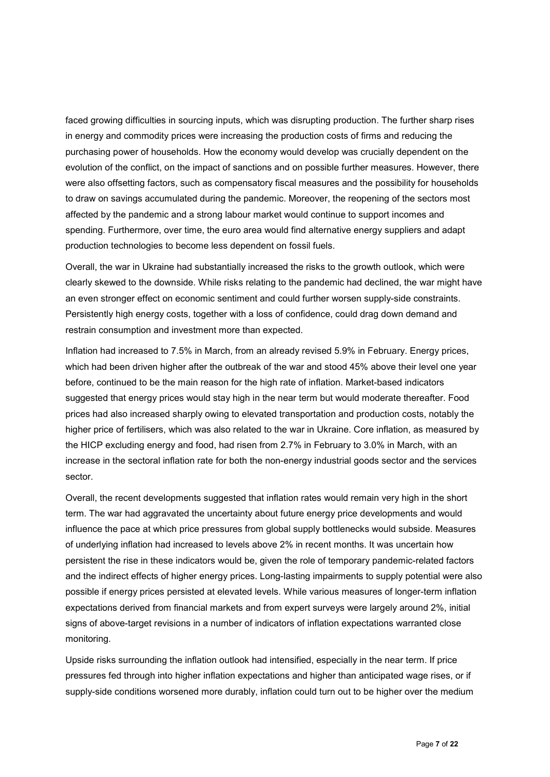faced growing difficulties in sourcing inputs, which was disrupting production. The further sharp rises in energy and commodity prices were increasing the production costs of firms and reducing the purchasing power of households. How the economy would develop was crucially dependent on the evolution of the conflict, on the impact of sanctions and on possible further measures. However, there were also offsetting factors, such as compensatory fiscal measures and the possibility for households to draw on savings accumulated during the pandemic. Moreover, the reopening of the sectors most affected by the pandemic and a strong labour market would continue to support incomes and spending. Furthermore, over time, the euro area would find alternative energy suppliers and adapt production technologies to become less dependent on fossil fuels.

Overall, the war in Ukraine had substantially increased the risks to the growth outlook, which were clearly skewed to the downside. While risks relating to the pandemic had declined, the war might have an even stronger effect on economic sentiment and could further worsen supply-side constraints. Persistently high energy costs, together with a loss of confidence, could drag down demand and restrain consumption and investment more than expected.

Inflation had increased to 7.5% in March, from an already revised 5.9% in February. Energy prices, which had been driven higher after the outbreak of the war and stood 45% above their level one year before, continued to be the main reason for the high rate of inflation. Market-based indicators suggested that energy prices would stay high in the near term but would moderate thereafter. Food prices had also increased sharply owing to elevated transportation and production costs, notably the higher price of fertilisers, which was also related to the war in Ukraine. Core inflation, as measured by the HICP excluding energy and food, had risen from 2.7% in February to 3.0% in March, with an increase in the sectoral inflation rate for both the non-energy industrial goods sector and the services sector.

Overall, the recent developments suggested that inflation rates would remain very high in the short term. The war had aggravated the uncertainty about future energy price developments and would influence the pace at which price pressures from global supply bottlenecks would subside. Measures of underlying inflation had increased to levels above 2% in recent months. It was uncertain how persistent the rise in these indicators would be, given the role of temporary pandemic-related factors and the indirect effects of higher energy prices. Long-lasting impairments to supply potential were also possible if energy prices persisted at elevated levels. While various measures of longer-term inflation expectations derived from financial markets and from expert surveys were largely around 2%, initial signs of above-target revisions in a number of indicators of inflation expectations warranted close monitoring.

Upside risks surrounding the inflation outlook had intensified, especially in the near term. If price pressures fed through into higher inflation expectations and higher than anticipated wage rises, or if supply-side conditions worsened more durably, inflation could turn out to be higher over the medium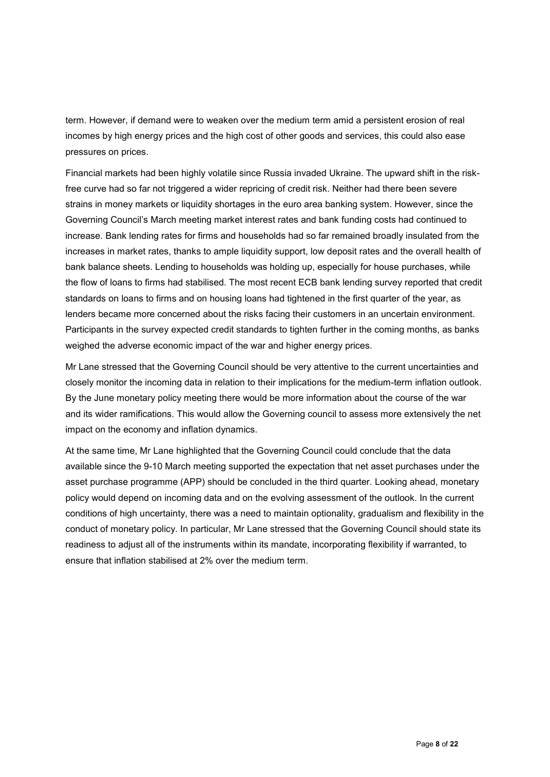term. However, if demand were to weaken over the medium term amid a persistent erosion of real incomes by high energy prices and the high cost of other goods and services, this could also ease pressures on prices.

Financial markets had been highly volatile since Russia invaded Ukraine. The upward shift in the riskfree curve had so far not triggered a wider repricing of credit risk. Neither had there been severe strains in money markets or liquidity shortages in the euro area banking system. However, since the Governing Council's March meeting market interest rates and bank funding costs had continued to increase. Bank lending rates for firms and households had so far remained broadly insulated from the increases in market rates, thanks to ample liquidity support, low deposit rates and the overall health of bank balance sheets. Lending to households was holding up, especially for house purchases, while the flow of loans to firms had stabilised. The most recent ECB bank lending survey reported that credit standards on loans to firms and on housing loans had tightened in the first quarter of the year, as lenders became more concerned about the risks facing their customers in an uncertain environment. Participants in the survey expected credit standards to tighten further in the coming months, as banks weighed the adverse economic impact of the war and higher energy prices.

Mr Lane stressed that the Governing Council should be very attentive to the current uncertainties and closely monitor the incoming data in relation to their implications for the medium-term inflation outlook. By the June monetary policy meeting there would be more information about the course of the war and its wider ramifications. This would allow the Governing council to assess more extensively the net impact on the economy and inflation dynamics.

At the same time, Mr Lane highlighted that the Governing Council could conclude that the data available since the 9-10 March meeting supported the expectation that net asset purchases under the asset purchase programme (APP) should be concluded in the third quarter. Looking ahead, monetary policy would depend on incoming data and on the evolving assessment of the outlook. In the current conditions of high uncertainty, there was a need to maintain optionality, gradualism and flexibility in the conduct of monetary policy. In particular, Mr Lane stressed that the Governing Council should state its readiness to adjust all of the instruments within its mandate, incorporating flexibility if warranted, to ensure that inflation stabilised at 2% over the medium term.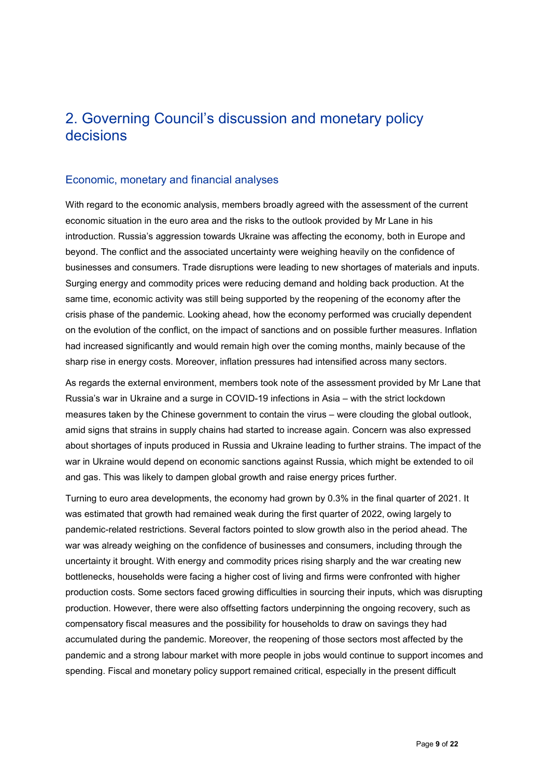# 2. Governing Council's discussion and monetary policy decisions

# Economic, monetary and financial analyses

With regard to the economic analysis, members broadly agreed with the assessment of the current economic situation in the euro area and the risks to the outlook provided by Mr Lane in his introduction. Russia's aggression towards Ukraine was affecting the economy, both in Europe and beyond. The conflict and the associated uncertainty were weighing heavily on the confidence of businesses and consumers. Trade disruptions were leading to new shortages of materials and inputs. Surging energy and commodity prices were reducing demand and holding back production. At the same time, economic activity was still being supported by the reopening of the economy after the crisis phase of the pandemic. Looking ahead, how the economy performed was crucially dependent on the evolution of the conflict, on the impact of sanctions and on possible further measures. Inflation had increased significantly and would remain high over the coming months, mainly because of the sharp rise in energy costs. Moreover, inflation pressures had intensified across many sectors.

As regards the external environment, members took note of the assessment provided by Mr Lane that Russia's war in Ukraine and a surge in COVID-19 infections in Asia – with the strict lockdown measures taken by the Chinese government to contain the virus – were clouding the global outlook, amid signs that strains in supply chains had started to increase again. Concern was also expressed about shortages of inputs produced in Russia and Ukraine leading to further strains. The impact of the war in Ukraine would depend on economic sanctions against Russia, which might be extended to oil and gas. This was likely to dampen global growth and raise energy prices further.

Turning to euro area developments, the economy had grown by 0.3% in the final quarter of 2021. It was estimated that growth had remained weak during the first quarter of 2022, owing largely to pandemic-related restrictions. Several factors pointed to slow growth also in the period ahead. The war was already weighing on the confidence of businesses and consumers, including through the uncertainty it brought. With energy and commodity prices rising sharply and the war creating new bottlenecks, households were facing a higher cost of living and firms were confronted with higher production costs. Some sectors faced growing difficulties in sourcing their inputs, which was disrupting production. However, there were also offsetting factors underpinning the ongoing recovery, such as compensatory fiscal measures and the possibility for households to draw on savings they had accumulated during the pandemic. Moreover, the reopening of those sectors most affected by the pandemic and a strong labour market with more people in jobs would continue to support incomes and spending. Fiscal and monetary policy support remained critical, especially in the present difficult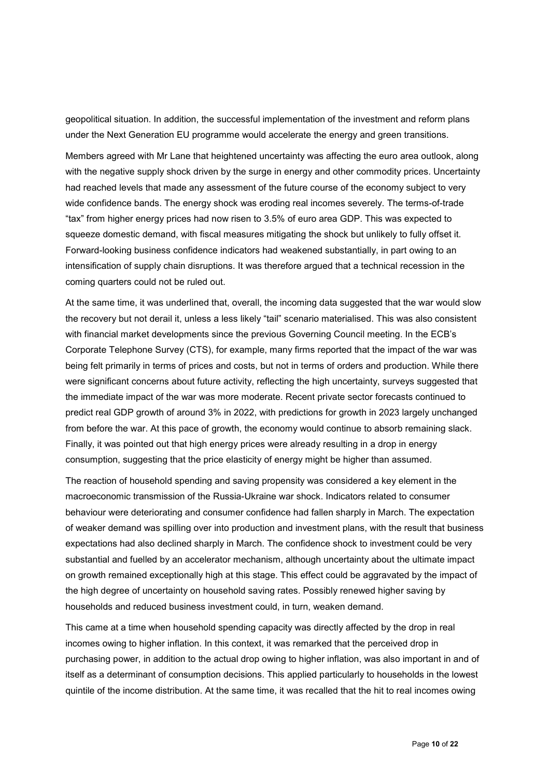geopolitical situation. In addition, the successful implementation of the investment and reform plans under the Next Generation EU programme would accelerate the energy and green transitions.

Members agreed with Mr Lane that heightened uncertainty was affecting the euro area outlook, along with the negative supply shock driven by the surge in energy and other commodity prices. Uncertainty had reached levels that made any assessment of the future course of the economy subject to very wide confidence bands. The energy shock was eroding real incomes severely. The terms-of-trade "tax" from higher energy prices had now risen to 3.5% of euro area GDP. This was expected to squeeze domestic demand, with fiscal measures mitigating the shock but unlikely to fully offset it. Forward-looking business confidence indicators had weakened substantially, in part owing to an intensification of supply chain disruptions. It was therefore argued that a technical recession in the coming quarters could not be ruled out.

At the same time, it was underlined that, overall, the incoming data suggested that the war would slow the recovery but not derail it, unless a less likely "tail" scenario materialised. This was also consistent with financial market developments since the previous Governing Council meeting. In the ECB's Corporate Telephone Survey (CTS), for example, many firms reported that the impact of the war was being felt primarily in terms of prices and costs, but not in terms of orders and production. While there were significant concerns about future activity, reflecting the high uncertainty, surveys suggested that the immediate impact of the war was more moderate. Recent private sector forecasts continued to predict real GDP growth of around 3% in 2022, with predictions for growth in 2023 largely unchanged from before the war. At this pace of growth, the economy would continue to absorb remaining slack. Finally, it was pointed out that high energy prices were already resulting in a drop in energy consumption, suggesting that the price elasticity of energy might be higher than assumed.

The reaction of household spending and saving propensity was considered a key element in the macroeconomic transmission of the Russia-Ukraine war shock. Indicators related to consumer behaviour were deteriorating and consumer confidence had fallen sharply in March. The expectation of weaker demand was spilling over into production and investment plans, with the result that business expectations had also declined sharply in March. The confidence shock to investment could be very substantial and fuelled by an accelerator mechanism, although uncertainty about the ultimate impact on growth remained exceptionally high at this stage. This effect could be aggravated by the impact of the high degree of uncertainty on household saving rates. Possibly renewed higher saving by households and reduced business investment could, in turn, weaken demand.

This came at a time when household spending capacity was directly affected by the drop in real incomes owing to higher inflation. In this context, it was remarked that the perceived drop in purchasing power, in addition to the actual drop owing to higher inflation, was also important in and of itself as a determinant of consumption decisions. This applied particularly to households in the lowest quintile of the income distribution. At the same time, it was recalled that the hit to real incomes owing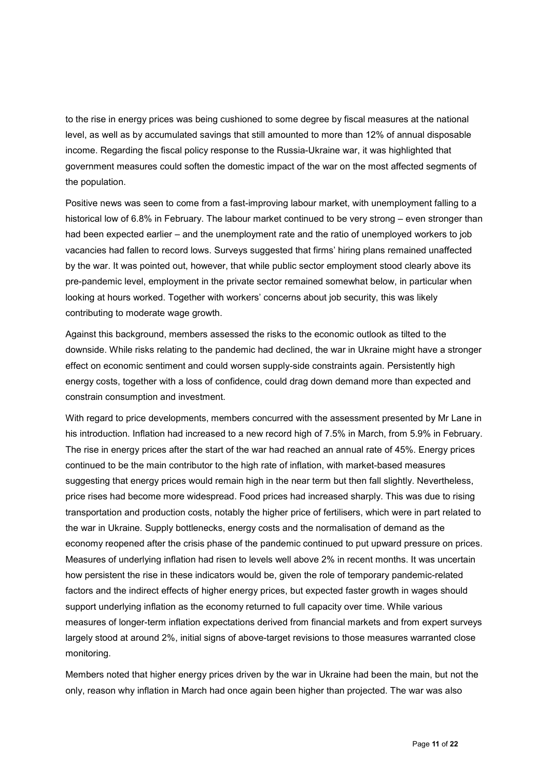to the rise in energy prices was being cushioned to some degree by fiscal measures at the national level, as well as by accumulated savings that still amounted to more than 12% of annual disposable income. Regarding the fiscal policy response to the Russia-Ukraine war, it was highlighted that government measures could soften the domestic impact of the war on the most affected segments of the population.

Positive news was seen to come from a fast-improving labour market, with unemployment falling to a historical low of 6.8% in February. The labour market continued to be very strong – even stronger than had been expected earlier – and the unemployment rate and the ratio of unemployed workers to job vacancies had fallen to record lows. Surveys suggested that firms' hiring plans remained unaffected by the war. It was pointed out, however, that while public sector employment stood clearly above its pre-pandemic level, employment in the private sector remained somewhat below, in particular when looking at hours worked. Together with workers' concerns about job security, this was likely contributing to moderate wage growth.

Against this background, members assessed the risks to the economic outlook as tilted to the downside. While risks relating to the pandemic had declined, the war in Ukraine might have a stronger effect on economic sentiment and could worsen supply-side constraints again. Persistently high energy costs, together with a loss of confidence, could drag down demand more than expected and constrain consumption and investment.

With regard to price developments, members concurred with the assessment presented by Mr Lane in his introduction. Inflation had increased to a new record high of 7.5% in March, from 5.9% in February. The rise in energy prices after the start of the war had reached an annual rate of 45%. Energy prices continued to be the main contributor to the high rate of inflation, with market-based measures suggesting that energy prices would remain high in the near term but then fall slightly. Nevertheless, price rises had become more widespread. Food prices had increased sharply. This was due to rising transportation and production costs, notably the higher price of fertilisers, which were in part related to the war in Ukraine. Supply bottlenecks, energy costs and the normalisation of demand as the economy reopened after the crisis phase of the pandemic continued to put upward pressure on prices. Measures of underlying inflation had risen to levels well above 2% in recent months. It was uncertain how persistent the rise in these indicators would be, given the role of temporary pandemic-related factors and the indirect effects of higher energy prices, but expected faster growth in wages should support underlying inflation as the economy returned to full capacity over time. While various measures of longer-term inflation expectations derived from financial markets and from expert surveys largely stood at around 2%, initial signs of above-target revisions to those measures warranted close monitoring.

Members noted that higher energy prices driven by the war in Ukraine had been the main, but not the only, reason why inflation in March had once again been higher than projected. The war was also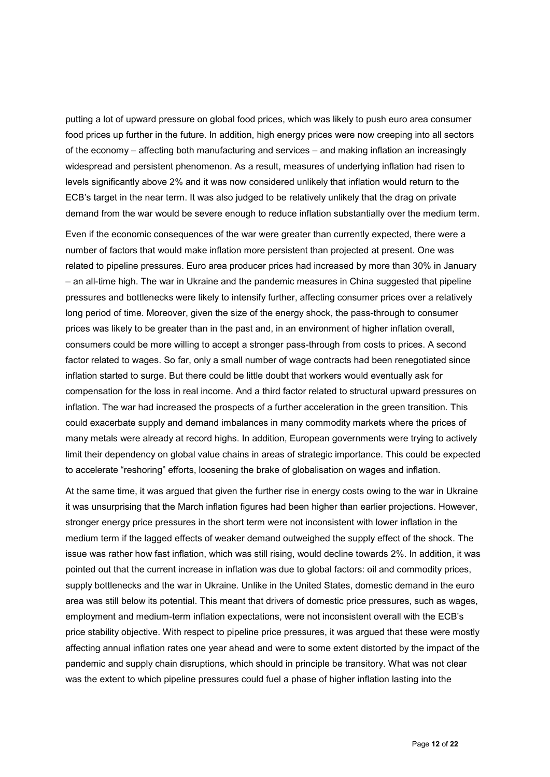putting a lot of upward pressure on global food prices, which was likely to push euro area consumer food prices up further in the future. In addition, high energy prices were now creeping into all sectors of the economy – affecting both manufacturing and services – and making inflation an increasingly widespread and persistent phenomenon. As a result, measures of underlying inflation had risen to levels significantly above 2% and it was now considered unlikely that inflation would return to the ECB's target in the near term. It was also judged to be relatively unlikely that the drag on private demand from the war would be severe enough to reduce inflation substantially over the medium term.

Even if the economic consequences of the war were greater than currently expected, there were a number of factors that would make inflation more persistent than projected at present. One was related to pipeline pressures. Euro area producer prices had increased by more than 30% in January – an all-time high. The war in Ukraine and the pandemic measures in China suggested that pipeline pressures and bottlenecks were likely to intensify further, affecting consumer prices over a relatively long period of time. Moreover, given the size of the energy shock, the pass-through to consumer prices was likely to be greater than in the past and, in an environment of higher inflation overall, consumers could be more willing to accept a stronger pass-through from costs to prices. A second factor related to wages. So far, only a small number of wage contracts had been renegotiated since inflation started to surge. But there could be little doubt that workers would eventually ask for compensation for the loss in real income. And a third factor related to structural upward pressures on inflation. The war had increased the prospects of a further acceleration in the green transition. This could exacerbate supply and demand imbalances in many commodity markets where the prices of many metals were already at record highs. In addition, European governments were trying to actively limit their dependency on global value chains in areas of strategic importance. This could be expected to accelerate "reshoring" efforts, loosening the brake of globalisation on wages and inflation.

At the same time, it was argued that given the further rise in energy costs owing to the war in Ukraine it was unsurprising that the March inflation figures had been higher than earlier projections. However, stronger energy price pressures in the short term were not inconsistent with lower inflation in the medium term if the lagged effects of weaker demand outweighed the supply effect of the shock. The issue was rather how fast inflation, which was still rising, would decline towards 2%. In addition, it was pointed out that the current increase in inflation was due to global factors: oil and commodity prices, supply bottlenecks and the war in Ukraine. Unlike in the United States, domestic demand in the euro area was still below its potential. This meant that drivers of domestic price pressures, such as wages, employment and medium-term inflation expectations, were not inconsistent overall with the ECB's price stability objective. With respect to pipeline price pressures, it was argued that these were mostly affecting annual inflation rates one year ahead and were to some extent distorted by the impact of the pandemic and supply chain disruptions, which should in principle be transitory. What was not clear was the extent to which pipeline pressures could fuel a phase of higher inflation lasting into the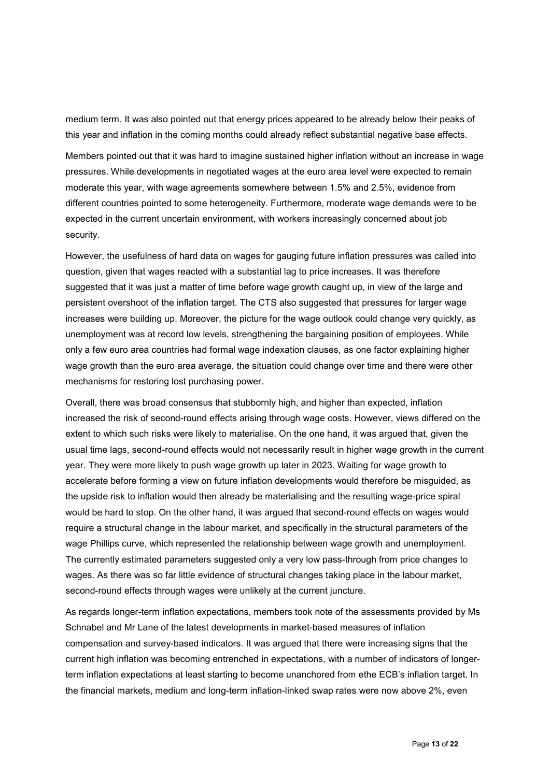medium term. It was also pointed out that energy prices appeared to be already below their peaks of this year and inflation in the coming months could already reflect substantial negative base effects.

Members pointed out that it was hard to imagine sustained higher inflation without an increase in wage pressures. While developments in negotiated wages at the euro area level were expected to remain moderate this year, with wage agreements somewhere between 1.5% and 2.5%, evidence from different countries pointed to some heterogeneity. Furthermore, moderate wage demands were to be expected in the current uncertain environment, with workers increasingly concerned about job security.

However, the usefulness of hard data on wages for gauging future inflation pressures was called into question, given that wages reacted with a substantial lag to price increases. It was therefore suggested that it was just a matter of time before wage growth caught up, in view of the large and persistent overshoot of the inflation target. The CTS also suggested that pressures for larger wage increases were building up. Moreover, the picture for the wage outlook could change very quickly, as unemployment was at record low levels, strengthening the bargaining position of employees. While only a few euro area countries had formal wage indexation clauses, as one factor explaining higher wage growth than the euro area average, the situation could change over time and there were other mechanisms for restoring lost purchasing power.

Overall, there was broad consensus that stubbornly high, and higher than expected, inflation increased the risk of second-round effects arising through wage costs. However, views differed on the extent to which such risks were likely to materialise. On the one hand, it was argued that, given the usual time lags, second-round effects would not necessarily result in higher wage growth in the current year. They were more likely to push wage growth up later in 2023. Waiting for wage growth to accelerate before forming a view on future inflation developments would therefore be misguided, as the upside risk to inflation would then already be materialising and the resulting wage-price spiral would be hard to stop. On the other hand, it was argued that second-round effects on wages would require a structural change in the labour market, and specifically in the structural parameters of the wage Phillips curve, which represented the relationship between wage growth and unemployment. The currently estimated parameters suggested only a very low pass-through from price changes to wages. As there was so far little evidence of structural changes taking place in the labour market, second-round effects through wages were unlikely at the current juncture.

As regards longer-term inflation expectations, members took note of the assessments provided by Ms Schnabel and Mr Lane of the latest developments in market-based measures of inflation compensation and survey-based indicators. It was argued that there were increasing signs that the current high inflation was becoming entrenched in expectations, with a number of indicators of longerterm inflation expectations at least starting to become unanchored from ethe ECB's inflation target. In the financial markets, medium and long-term inflation-linked swap rates were now above 2%, even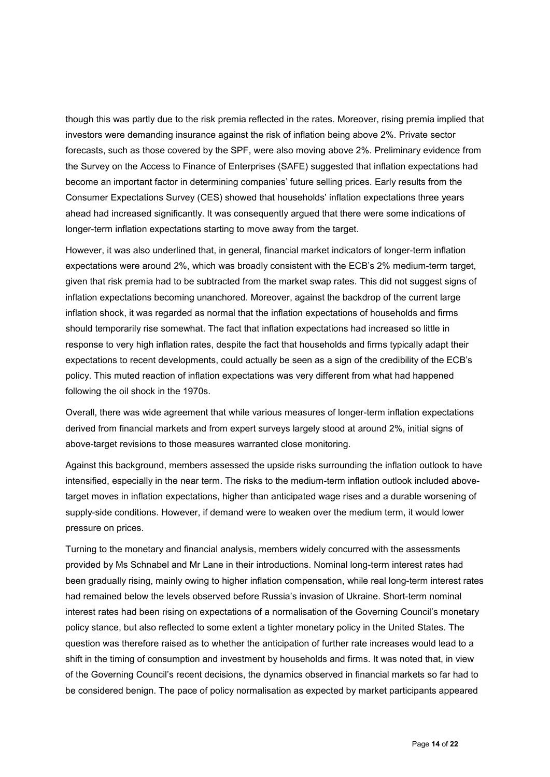though this was partly due to the risk premia reflected in the rates. Moreover, rising premia implied that investors were demanding insurance against the risk of inflation being above 2%. Private sector forecasts, such as those covered by the SPF, were also moving above 2%. Preliminary evidence from the Survey on the Access to Finance of Enterprises (SAFE) suggested that inflation expectations had become an important factor in determining companies' future selling prices. Early results from the Consumer Expectations Survey (CES) showed that households' inflation expectations three years ahead had increased significantly. It was consequently argued that there were some indications of longer-term inflation expectations starting to move away from the target.

However, it was also underlined that, in general, financial market indicators of longer-term inflation expectations were around 2%, which was broadly consistent with the ECB's 2% medium-term target, given that risk premia had to be subtracted from the market swap rates. This did not suggest signs of inflation expectations becoming unanchored. Moreover, against the backdrop of the current large inflation shock, it was regarded as normal that the inflation expectations of households and firms should temporarily rise somewhat. The fact that inflation expectations had increased so little in response to very high inflation rates, despite the fact that households and firms typically adapt their expectations to recent developments, could actually be seen as a sign of the credibility of the ECB's policy. This muted reaction of inflation expectations was very different from what had happened following the oil shock in the 1970s.

Overall, there was wide agreement that while various measures of longer-term inflation expectations derived from financial markets and from expert surveys largely stood at around 2%, initial signs of above-target revisions to those measures warranted close monitoring.

Against this background, members assessed the upside risks surrounding the inflation outlook to have intensified, especially in the near term. The risks to the medium-term inflation outlook included abovetarget moves in inflation expectations, higher than anticipated wage rises and a durable worsening of supply-side conditions. However, if demand were to weaken over the medium term, it would lower pressure on prices.

Turning to the monetary and financial analysis, members widely concurred with the assessments provided by Ms Schnabel and Mr Lane in their introductions. Nominal long-term interest rates had been gradually rising, mainly owing to higher inflation compensation, while real long-term interest rates had remained below the levels observed before Russia's invasion of Ukraine. Short-term nominal interest rates had been rising on expectations of a normalisation of the Governing Council's monetary policy stance, but also reflected to some extent a tighter monetary policy in the United States. The question was therefore raised as to whether the anticipation of further rate increases would lead to a shift in the timing of consumption and investment by households and firms. It was noted that, in view of the Governing Council's recent decisions, the dynamics observed in financial markets so far had to be considered benign. The pace of policy normalisation as expected by market participants appeared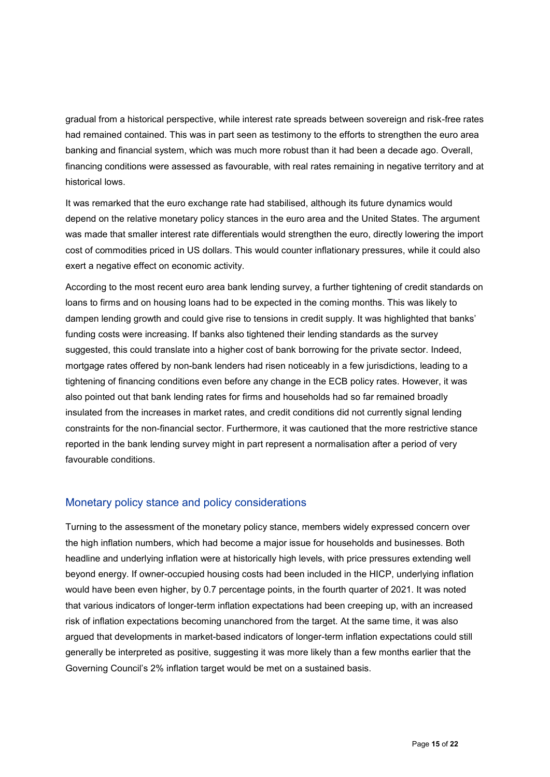gradual from a historical perspective, while interest rate spreads between sovereign and risk-free rates had remained contained. This was in part seen as testimony to the efforts to strengthen the euro area banking and financial system, which was much more robust than it had been a decade ago. Overall, financing conditions were assessed as favourable, with real rates remaining in negative territory and at historical lows.

It was remarked that the euro exchange rate had stabilised, although its future dynamics would depend on the relative monetary policy stances in the euro area and the United States. The argument was made that smaller interest rate differentials would strengthen the euro, directly lowering the import cost of commodities priced in US dollars. This would counter inflationary pressures, while it could also exert a negative effect on economic activity.

According to the most recent euro area bank lending survey, a further tightening of credit standards on loans to firms and on housing loans had to be expected in the coming months. This was likely to dampen lending growth and could give rise to tensions in credit supply. It was highlighted that banks' funding costs were increasing. If banks also tightened their lending standards as the survey suggested, this could translate into a higher cost of bank borrowing for the private sector. Indeed, mortgage rates offered by non-bank lenders had risen noticeably in a few jurisdictions, leading to a tightening of financing conditions even before any change in the ECB policy rates. However, it was also pointed out that bank lending rates for firms and households had so far remained broadly insulated from the increases in market rates, and credit conditions did not currently signal lending constraints for the non-financial sector. Furthermore, it was cautioned that the more restrictive stance reported in the bank lending survey might in part represent a normalisation after a period of very favourable conditions.

#### Monetary policy stance and policy considerations

Turning to the assessment of the monetary policy stance, members widely expressed concern over the high inflation numbers, which had become a major issue for households and businesses. Both headline and underlying inflation were at historically high levels, with price pressures extending well beyond energy. If owner-occupied housing costs had been included in the HICP, underlying inflation would have been even higher, by 0.7 percentage points, in the fourth quarter of 2021. It was noted that various indicators of longer-term inflation expectations had been creeping up, with an increased risk of inflation expectations becoming unanchored from the target. At the same time, it was also argued that developments in market-based indicators of longer-term inflation expectations could still generally be interpreted as positive, suggesting it was more likely than a few months earlier that the Governing Council's 2% inflation target would be met on a sustained basis.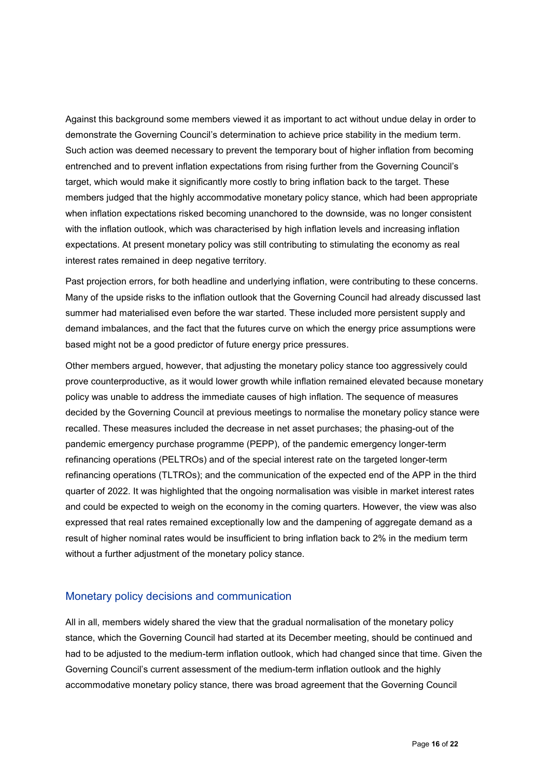Against this background some members viewed it as important to act without undue delay in order to demonstrate the Governing Council's determination to achieve price stability in the medium term. Such action was deemed necessary to prevent the temporary bout of higher inflation from becoming entrenched and to prevent inflation expectations from rising further from the Governing Council's target, which would make it significantly more costly to bring inflation back to the target. These members judged that the highly accommodative monetary policy stance, which had been appropriate when inflation expectations risked becoming unanchored to the downside, was no longer consistent with the inflation outlook, which was characterised by high inflation levels and increasing inflation expectations. At present monetary policy was still contributing to stimulating the economy as real interest rates remained in deep negative territory.

Past projection errors, for both headline and underlying inflation, were contributing to these concerns. Many of the upside risks to the inflation outlook that the Governing Council had already discussed last summer had materialised even before the war started. These included more persistent supply and demand imbalances, and the fact that the futures curve on which the energy price assumptions were based might not be a good predictor of future energy price pressures.

Other members argued, however, that adjusting the monetary policy stance too aggressively could prove counterproductive, as it would lower growth while inflation remained elevated because monetary policy was unable to address the immediate causes of high inflation. The sequence of measures decided by the Governing Council at previous meetings to normalise the monetary policy stance were recalled. These measures included the decrease in net asset purchases; the phasing-out of the pandemic emergency purchase programme (PEPP), of the pandemic emergency longer-term refinancing operations (PELTROs) and of the special interest rate on the targeted longer-term refinancing operations (TLTROs); and the communication of the expected end of the APP in the third quarter of 2022. It was highlighted that the ongoing normalisation was visible in market interest rates and could be expected to weigh on the economy in the coming quarters. However, the view was also expressed that real rates remained exceptionally low and the dampening of aggregate demand as a result of higher nominal rates would be insufficient to bring inflation back to 2% in the medium term without a further adjustment of the monetary policy stance.

### Monetary policy decisions and communication

All in all, members widely shared the view that the gradual normalisation of the monetary policy stance, which the Governing Council had started at its December meeting, should be continued and had to be adjusted to the medium-term inflation outlook, which had changed since that time. Given the Governing Council's current assessment of the medium-term inflation outlook and the highly accommodative monetary policy stance, there was broad agreement that the Governing Council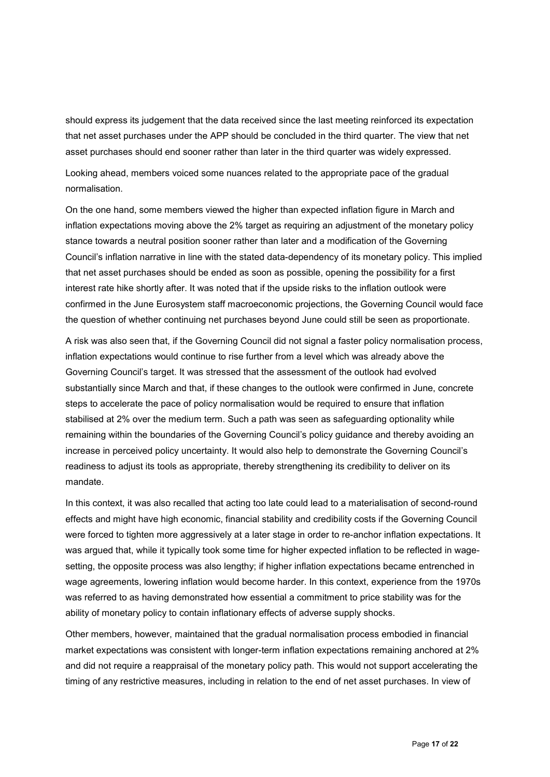should express its judgement that the data received since the last meeting reinforced its expectation that net asset purchases under the APP should be concluded in the third quarter. The view that net asset purchases should end sooner rather than later in the third quarter was widely expressed.

Looking ahead, members voiced some nuances related to the appropriate pace of the gradual normalisation.

On the one hand, some members viewed the higher than expected inflation figure in March and inflation expectations moving above the 2% target as requiring an adjustment of the monetary policy stance towards a neutral position sooner rather than later and a modification of the Governing Council's inflation narrative in line with the stated data-dependency of its monetary policy. This implied that net asset purchases should be ended as soon as possible, opening the possibility for a first interest rate hike shortly after. It was noted that if the upside risks to the inflation outlook were confirmed in the June Eurosystem staff macroeconomic projections, the Governing Council would face the question of whether continuing net purchases beyond June could still be seen as proportionate.

A risk was also seen that, if the Governing Council did not signal a faster policy normalisation process, inflation expectations would continue to rise further from a level which was already above the Governing Council's target. It was stressed that the assessment of the outlook had evolved substantially since March and that, if these changes to the outlook were confirmed in June, concrete steps to accelerate the pace of policy normalisation would be required to ensure that inflation stabilised at 2% over the medium term. Such a path was seen as safeguarding optionality while remaining within the boundaries of the Governing Council's policy guidance and thereby avoiding an increase in perceived policy uncertainty. It would also help to demonstrate the Governing Council's readiness to adjust its tools as appropriate, thereby strengthening its credibility to deliver on its mandate.

In this context, it was also recalled that acting too late could lead to a materialisation of second-round effects and might have high economic, financial stability and credibility costs if the Governing Council were forced to tighten more aggressively at a later stage in order to re-anchor inflation expectations. It was argued that, while it typically took some time for higher expected inflation to be reflected in wagesetting, the opposite process was also lengthy; if higher inflation expectations became entrenched in wage agreements, lowering inflation would become harder. In this context, experience from the 1970s was referred to as having demonstrated how essential a commitment to price stability was for the ability of monetary policy to contain inflationary effects of adverse supply shocks.

Other members, however, maintained that the gradual normalisation process embodied in financial market expectations was consistent with longer-term inflation expectations remaining anchored at 2% and did not require a reappraisal of the monetary policy path. This would not support accelerating the timing of any restrictive measures, including in relation to the end of net asset purchases. In view of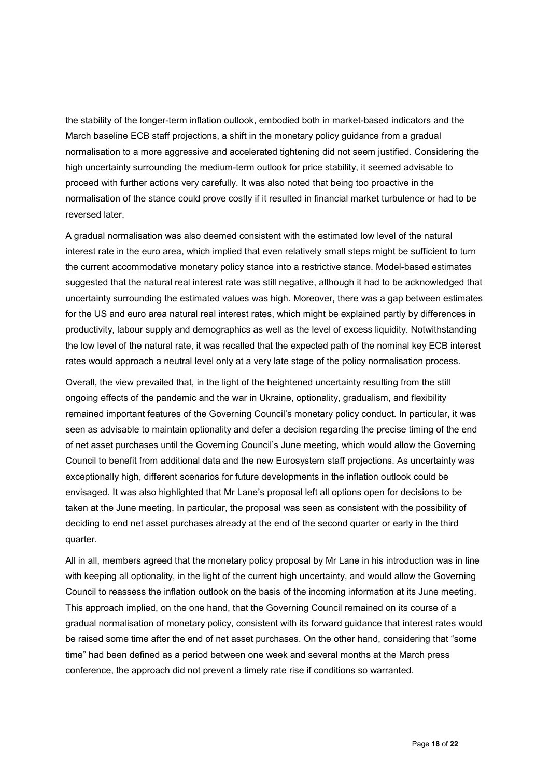the stability of the longer-term inflation outlook, embodied both in market-based indicators and the March baseline ECB staff projections, a shift in the monetary policy guidance from a gradual normalisation to a more aggressive and accelerated tightening did not seem justified. Considering the high uncertainty surrounding the medium-term outlook for price stability, it seemed advisable to proceed with further actions very carefully. It was also noted that being too proactive in the normalisation of the stance could prove costly if it resulted in financial market turbulence or had to be reversed later.

A gradual normalisation was also deemed consistent with the estimated low level of the natural interest rate in the euro area, which implied that even relatively small steps might be sufficient to turn the current accommodative monetary policy stance into a restrictive stance. Model-based estimates suggested that the natural real interest rate was still negative, although it had to be acknowledged that uncertainty surrounding the estimated values was high. Moreover, there was a gap between estimates for the US and euro area natural real interest rates, which might be explained partly by differences in productivity, labour supply and demographics as well as the level of excess liquidity. Notwithstanding the low level of the natural rate, it was recalled that the expected path of the nominal key ECB interest rates would approach a neutral level only at a very late stage of the policy normalisation process.

Overall, the view prevailed that, in the light of the heightened uncertainty resulting from the still ongoing effects of the pandemic and the war in Ukraine, optionality, gradualism, and flexibility remained important features of the Governing Council's monetary policy conduct. In particular, it was seen as advisable to maintain optionality and defer a decision regarding the precise timing of the end of net asset purchases until the Governing Council's June meeting, which would allow the Governing Council to benefit from additional data and the new Eurosystem staff projections. As uncertainty was exceptionally high, different scenarios for future developments in the inflation outlook could be envisaged. It was also highlighted that Mr Lane's proposal left all options open for decisions to be taken at the June meeting. In particular, the proposal was seen as consistent with the possibility of deciding to end net asset purchases already at the end of the second quarter or early in the third quarter.

All in all, members agreed that the monetary policy proposal by Mr Lane in his introduction was in line with keeping all optionality, in the light of the current high uncertainty, and would allow the Governing Council to reassess the inflation outlook on the basis of the incoming information at its June meeting. This approach implied, on the one hand, that the Governing Council remained on its course of a gradual normalisation of monetary policy, consistent with its forward guidance that interest rates would be raised some time after the end of net asset purchases. On the other hand, considering that "some time" had been defined as a period between one week and several months at the March press conference, the approach did not prevent a timely rate rise if conditions so warranted.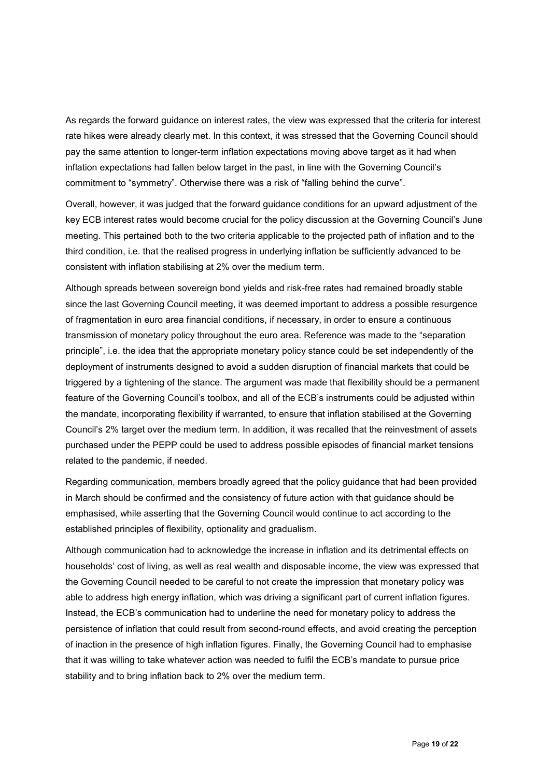As regards the forward guidance on interest rates, the view was expressed that the criteria for interest rate hikes were already clearly met. In this context, it was stressed that the Governing Council should pay the same attention to longer-term inflation expectations moving above target as it had when inflation expectations had fallen below target in the past, in line with the Governing Council's commitment to "symmetry". Otherwise there was a risk of "falling behind the curve".

Overall, however, it was judged that the forward guidance conditions for an upward adjustment of the key ECB interest rates would become crucial for the policy discussion at the Governing Council's June meeting. This pertained both to the two criteria applicable to the projected path of inflation and to the third condition, i.e. that the realised progress in underlying inflation be sufficiently advanced to be consistent with inflation stabilising at 2% over the medium term.

Although spreads between sovereign bond yields and risk-free rates had remained broadly stable since the last Governing Council meeting, it was deemed important to address a possible resurgence of fragmentation in euro area financial conditions, if necessary, in order to ensure a continuous transmission of monetary policy throughout the euro area. Reference was made to the "separation principle", i.e. the idea that the appropriate monetary policy stance could be set independently of the deployment of instruments designed to avoid a sudden disruption of financial markets that could be triggered by a tightening of the stance. The argument was made that flexibility should be a permanent feature of the Governing Council's toolbox, and all of the ECB's instruments could be adjusted within the mandate, incorporating flexibility if warranted, to ensure that inflation stabilised at the Governing Council's 2% target over the medium term. In addition, it was recalled that the reinvestment of assets purchased under the PEPP could be used to address possible episodes of financial market tensions related to the pandemic, if needed.

Regarding communication, members broadly agreed that the policy guidance that had been provided in March should be confirmed and the consistency of future action with that guidance should be emphasised, while asserting that the Governing Council would continue to act according to the established principles of flexibility, optionality and gradualism.

Although communication had to acknowledge the increase in inflation and its detrimental effects on households' cost of living, as well as real wealth and disposable income, the view was expressed that the Governing Council needed to be careful to not create the impression that monetary policy was able to address high energy inflation, which was driving a significant part of current inflation figures. Instead, the ECB's communication had to underline the need for monetary policy to address the persistence of inflation that could result from second-round effects, and avoid creating the perception of inaction in the presence of high inflation figures. Finally, the Governing Council had to emphasise that it was willing to take whatever action was needed to fulfil the ECB's mandate to pursue price stability and to bring inflation back to 2% over the medium term.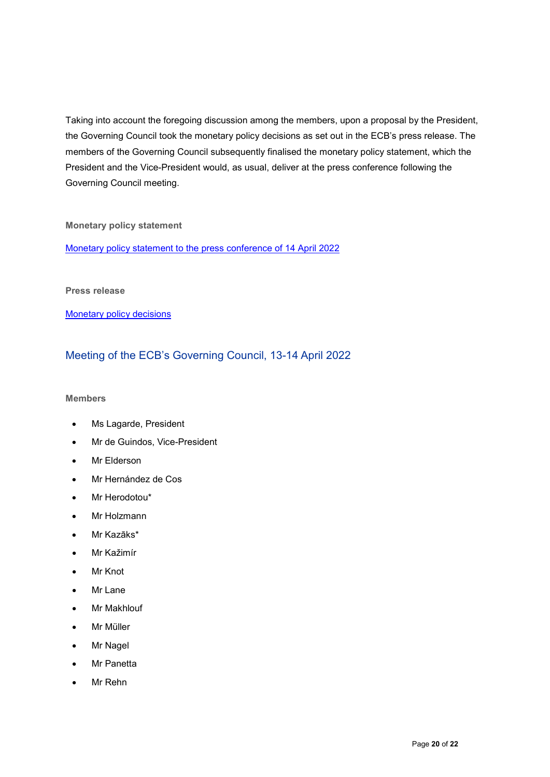Taking into account the foregoing discussion among the members, upon a proposal by the President, the Governing Council took the monetary policy decisions as set out in the ECB's press release. The members of the Governing Council subsequently finalised the monetary policy statement, which the President and the Vice-President would, as usual, deliver at the press conference following the Governing Council meeting.

#### **Monetary policy statement**

[Monetary policy statement to the press conference of 14 April 2022](https://www.ecb.europa.eu/press/pressconf/2022/html/ecb.is220414%7Efa5c8fe142.en.html)

#### **Press release**

**[Monetary policy decisions](https://www.ecb.europa.eu/press/pr/date/2022/html/ecb.mp220414%7Ed1b76520c6.en.html)** 

# Meeting of the ECB's Governing Council, 13-14 April 2022

#### **Members**

- Ms Lagarde, President
- Mr de Guindos, Vice-President
- Mr Elderson
- Mr Hernández de Cos
- Mr Herodotou\*
- Mr Holzmann
- Mr Kazāks\*
- Mr Kažimír
- **Mr Knot**
- Mr Lane
- **Mr Makhlouf**
- Mr Müller
- **Mr Nagel**
- Mr Panetta
- Mr Rehn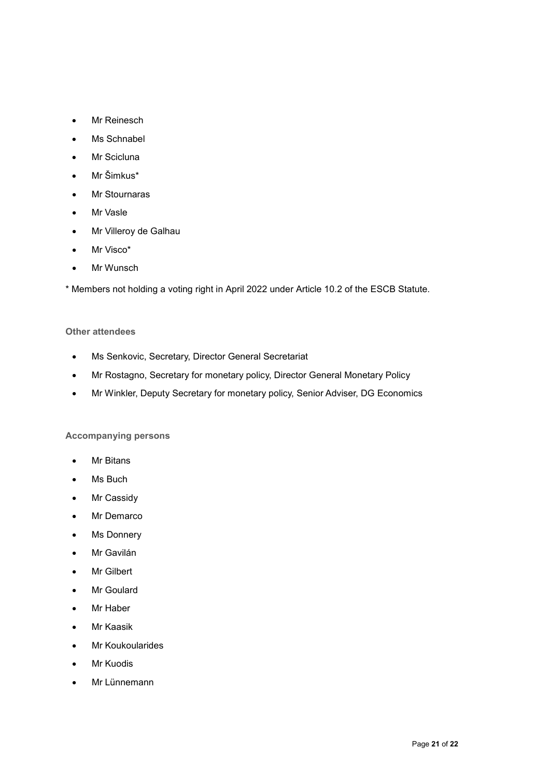- Mr Reinesch
- Ms Schnabel
- Mr Scicluna
- Mr Šimkus\*
- Mr Stournaras
- Mr Vasle
- Mr Villeroy de Galhau
- Mr Visco\*
- Mr Wunsch

\* Members not holding a voting right in April 2022 under Article 10.2 of the ESCB Statute.

#### **Other attendees**

- Ms Senkovic, Secretary, Director General Secretariat
- Mr Rostagno, Secretary for monetary policy, Director General Monetary Policy
- Mr Winkler, Deputy Secretary for monetary policy, Senior Adviser, DG Economics

#### **Accompanying persons**

- **Mr Bitans**
- Ms Buch
- Mr Cassidy
- Mr Demarco
- Ms Donnery
- Mr Gavilán
- Mr Gilbert
- Mr Goulard
- Mr Haber
- Mr Kaasik
- Mr Koukoularides
- **Mr Kuodis**
- Mr Lünnemann